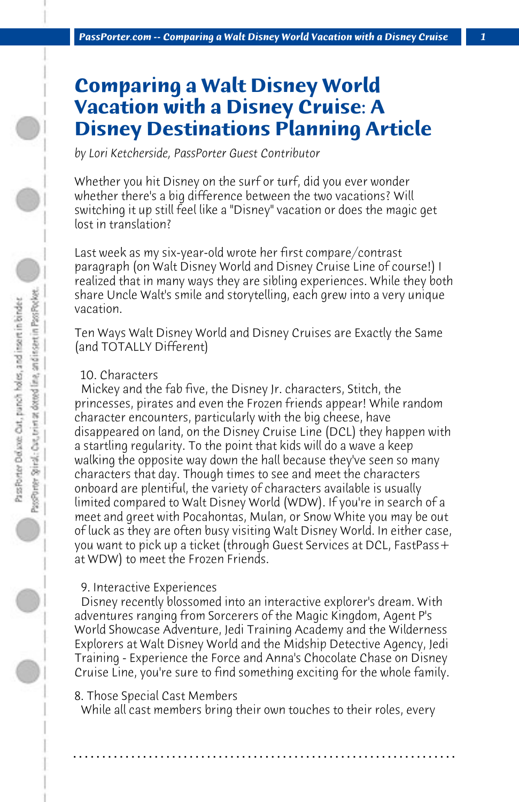# **Comparing a Walt Disney World Vacation with a Disney Cruise: A Disney Destinations Planning Article**

*by Lori Ketcherside, PassPorter Guest Contributor*

Whether you hit Disney on the surf or turf, did you ever wonder whether there's a big difference between the two vacations? Will switching it up still feel like a "Disney" vacation or does the magic get lost in translation?

Last week as my six-year-old wrote her first compare/contrast paragraph (on Walt Disney World and Disney Cruise Line of course!) I realized that in many ways they are sibling experiences. While they both share Uncle Walt's smile and storytelling, each grew into a very unique vacation.

Ten Ways Walt Disney World and Disney Cruises are Exactly the Same (and TOTALLY Different)

## 10. Characters

 Mickey and the fab five, the Disney Jr. characters, Stitch, the princesses, pirates and even the Frozen friends appear! While random character encounters, particularly with the big cheese, have disappeared on land, on the Disney Cruise Line (DCL) they happen with a startling regularity. To the point that kids will do a wave a keep walking the opposite way down the hall because they've seen so many characters that day. Though times to see and meet the characters onboard are plentiful, the variety of characters available is usually limited compared to Walt Disney World (WDW). If you're in search of a meet and greet with Pocahontas, Mulan, or Snow White you may be out of luck as they are often busy visiting Walt Disney World. In either case, you want to pick up a ticket (through Guest Services at DCL, FastPass+ at WDW) to meet the Frozen Friends.

## 9. Interactive Experiences

 Disney recently blossomed into an interactive explorer's dream. With adventures ranging from Sorcerers of the Magic Kingdom, Agent P's World Showcase Adventure, Jedi Training Academy and the Wilderness Explorers at Walt Disney World and the Midship Detective Agency, Jedi Training - Experience the Force and Anna's Chocolate Chase on Disney Cruise Line, you're sure to find something exciting for the whole family.

8. Those Special Cast Members

 While all cast members bring their own touches to their roles, every

**. . . . . . . . . . . . . . . . . . . . . . . . . . . . . . . . . . . . . . . . . . . . . . . . . . . . . . . . . . . . . . . . . .**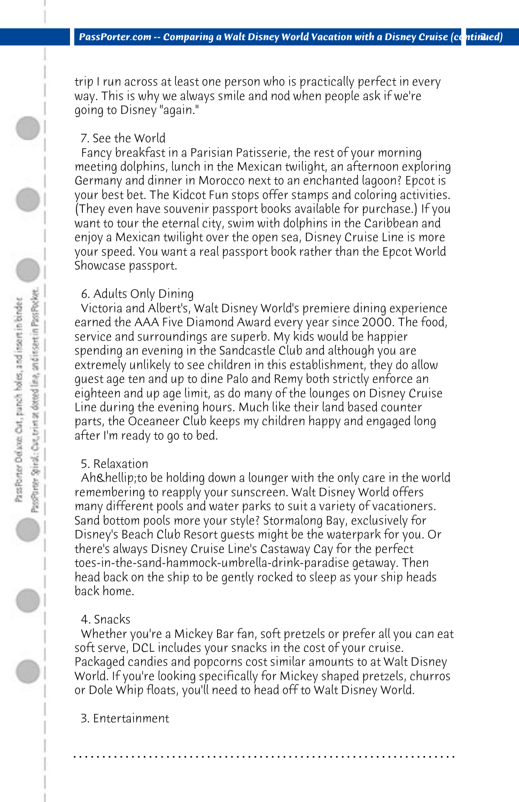trip I run across at least one person who is practically perfect in every way. This is why we always smile and nod when people ask if we're going to Disney "again."

## 7. See the World

 Fancy breakfast in a Parisian Patisserie, the rest of your morning meeting dolphins, lunch in the Mexican twilight, an afternoon exploring Germany and dinner in Morocco next to an enchanted lagoon? Epcot is your best bet. The Kidcot Fun stops offer stamps and coloring activities. (They even have souvenir passport books available for purchase.) If you want to tour the eternal city, swim with dolphins in the Caribbean and enjoy a Mexican twilight over the open sea, Disney Cruise Line is more your speed. You want a real passport book rather than the Epcot World Showcase passport.

#### 6. Adults Only Dining

 Victoria and Albert's, Walt Disney World's premiere dining experience earned the AAA Five Diamond Award every year since 2000. The food, service and surroundings are superb. My kids would be happier spending an evening in the Sandcastle Club and although you are extremely unlikely to see children in this establishment, they do allow guest age ten and up to dine Palo and Remy both strictly enforce an eighteen and up age limit, as do many of the lounges on Disney Cruise Line during the evening hours. Much like their land based counter parts, the Oceaneer Club keeps my children happy and engaged long after I'm ready to go to bed.

#### 5. Relaxation

Ah & hellip; to be holding down a lounger with the only care in the world remembering to reapply your sunscreen. Walt Disney World offers many different pools and water parks to suit a variety of vacationers. Sand bottom pools more your style? Stormalong Bay, exclusively for Disney's Beach Club Resort guests might be the waterpark for you. Or there's always Disney Cruise Line's Castaway Cay for the perfect toes-in-the-sand-hammock-umbrella-drink-paradise getaway. Then head back on the ship to be gently rocked to sleep as your ship heads back home.

#### 4. Snacks

 Whether you're a Mickey Bar fan, soft pretzels or prefer all you can eat soft serve, DCL includes your snacks in the cost of your cruise. Packaged candies and popcorns cost similar amounts to at Walt Disney World. If you're looking specifically for Mickey shaped pretzels, churros or Dole Whip floats, you'll need to head off to Walt Disney World.

**. . . . . . . . . . . . . . . . . . . . . . . . . . . . . . . . . . . . . . . . . . . . . . . . . . . . . . . . . . . . . . . . . .**

 3. Entertainment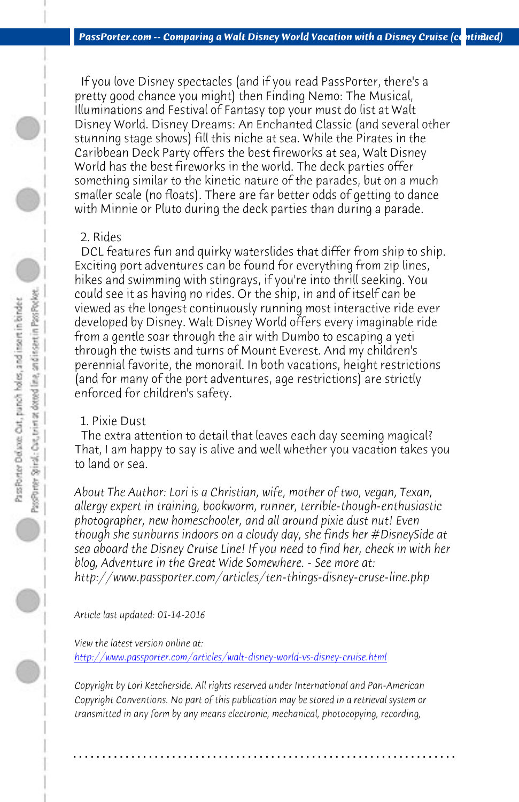*PassPorter.com -- Comparing a Walt Disney World Vacation with a Disney Cruise (continued)* 

 If you love Disney spectacles (and if you read PassPorter, there's a pretty good chance you might) then Finding Nemo: The Musical, Illuminations and Festival of Fantasy top your must do list at Walt Disney World. Disney Dreams: An Enchanted Classic (and several other stunning stage shows) fill this niche at sea. While the Pirates in the Caribbean Deck Party offers the best fireworks at sea, Walt Disney World has the best fireworks in the world. The deck parties offer something similar to the kinetic nature of the parades, but on a much smaller scale (no floats). There are far better odds of getting to dance with Minnie or Pluto during the deck parties than during a parade.

## 2. Rides

 DCL features fun and quirky waterslides that differ from ship to ship. Exciting port adventures can be found for everything from zip lines, hikes and swimming with stingrays, if you're into thrill seeking. You could see it as having no rides. Or the ship, in and of itself can be viewed as the longest continuously running most interactive ride ever developed by Disney. Walt Disney World offers every imaginable ride from a gentle soar through the air with Dumbo to escaping a yeti through the twists and turns of Mount Everest. And my children's perennial favorite, the monorail. In both vacations, height restrictions (and for many of the port adventures, age restrictions) are strictly enforced for children's safety.

#### [1. Pixie Dust](http://www.passporter.com/articles/walt-disney-world-vs-disney-cruise.php)

 The extra attention to detail that leaves each day seeming magical? That, I am happy to say is alive and well whether you vacation takes you to land or sea.

*About The Author: Lori is a Christian, wife, mother of two, vegan, Texan, allergy expert in training, bookworm, runner, terrible-though-enthusiastic photographer, new homeschooler, and all around pixie dust nut! Even though she sunburns indoors on a cloudy day, she finds her #DisneySide at sea aboard the Disney Cruise Line! If you need to find her, check in with her blog, Adventure in the Great Wide Somewhere. - See more at: http://www.passporter.com/articles/ten-things-disney-cruse-line.php*

*Article last updated: 01-14-2016*

*View the latest version online at:* 

*http://www.passporter.com/articles/walt-disney-world-vs-disney-cruise.html*

*Copyright by Lori Ketcherside. All rights reserved under International and Pan-American Copyright Conventions. No part of this publication may be stored in a retrieval system or transmitted in any form by any means electronic, mechanical, photocopying, recording,*

**. . . . . . . . . . . . . . . . . . . . . . . . . . . . . . . . . . . . . . . . . . . . . . . . . . . . . . . . . . . . . . . . . .**